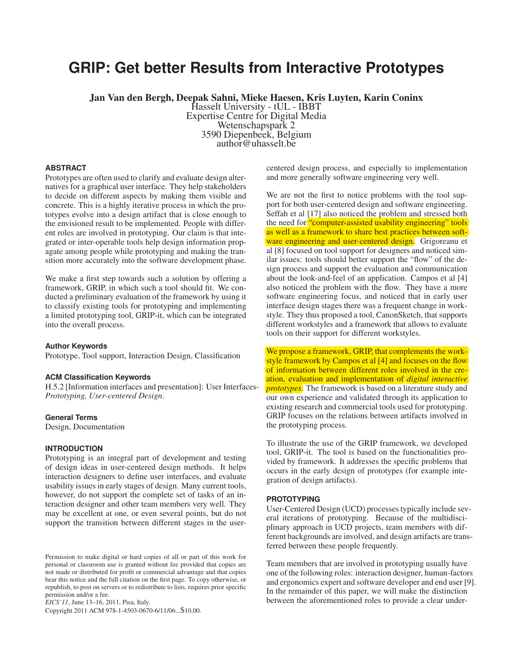# **GRIP: Get better Results from Interactive Prototypes**

Jan Van den Bergh, Deepak Sahni, Mieke Haesen, Kris Luyten, Karin Coninx

Hasselt University - tUL - IBBT Expertise Centre for Digital Media Wetenschapspark 2 3590 Diepenbeek, Belgium author@uhasselt.be

# **ABSTRACT**

Prototypes are often used to clarify and evaluate design alternatives for a graphical user interface. They help stakeholders to decide on different aspects by making them visible and concrete. This is a highly iterative process in which the prototypes evolve into a design artifact that is close enough to the envisioned result to be implemented. People with different roles are involved in prototyping. Our claim is that integrated or inter-operable tools help design information propagate among people while prototyping and making the transition more accurately into the software development phase.

We make a first step towards such a solution by offering a framework, GRIP, in which such a tool should fit. We conducted a preliminary evaluation of the framework by using it to classify existing tools for prototyping and implementing a limited prototyping tool, GRIP-it, which can be integrated into the overall process.

#### **Author Keywords**

Prototype, Tool support, Interaction Design, Classification

#### **ACM Classification Keywords**

H.5.2 [Information interfaces and presentation]: User Interfaces-*Prototyping, User-centered Design*.

#### **General Terms**

Design, Documentation

### **INTRODUCTION**

Prototyping is an integral part of development and testing of design ideas in user-centered design methods. It helps interaction designers to define user interfaces, and evaluate usability issues in early stages of design. Many current tools, however, do not support the complete set of tasks of an interaction designer and other team members very well. They may be excellent at one, or even several points, but do not support the transition between different stages in the user-

*EICS'11*, June 13–16, 2011, Pisa, Italy.

Copyright 2011 ACM 978-1-4503-0670-6/11/06...\$10.00.

centered design process, and especially to implementation and more generally software engineering very well.

We are not the first to notice problems with the tool support for both user-centered design and software engineering. Seffah et al [17] also noticed the problem and stressed both the need for "computer-assisted usability engineering" tools as well as a framework to share best practices between software engineering and user-centered design. Grigoreanu et al [8] focused on tool support for designers and noticed similar issues: tools should better support the "flow" of the design process and support the evaluation and communication about the look-and-feel of an application. Campos et al [4] also noticed the problem with the flow. They have a more software engineering focus, and noticed that in early user interface design stages there was a frequent change in workstyle. They thus proposed a tool, CanonSketch, that supports different workstyles and a framework that allows to evaluate tools on their support for different workstyles.

We propose a framework, GRIP, that complements the workstyle framework by Campos et al [4] and focuses on the flow of information between different roles involved in the creation, evaluation and implementation of *digital interactive prototypes*. The framework is based on a literature study and our own experience and validated through its application to existing research and commercial tools used for prototyping. GRIP focuses on the relations between artifacts involved in the prototyping process.

To illustrate the use of the GRIP framework, we developed tool, GRIP-it. The tool is based on the functionalities provided by framework. It addresses the specific problems that occurs in the early design of prototypes (for example integration of design artifacts).

#### **PROTOTYPING**

User-Centered Design (UCD) processes typically include several iterations of prototyping. Because of the multidisciplinary approach in UCD projects, team members with different backgrounds are involved, and design artifacts are transferred between these people frequently.

Team members that are involved in prototyping usually have one of the following roles: interaction designer, human-factors and ergonomics expert and software developer and end user [9]. In the remainder of this paper, we will make the distinction between the aforementioned roles to provide a clear under-

Permission to make digital or hard copies of all or part of this work for personal or classroom use is granted without fee provided that copies are not made or distributed for profit or commercial advantage and that copies bear this notice and the full citation on the first page. To copy otherwise, or republish, to post on servers or to redistribute to lists, requires prior specific permission and/or a fee.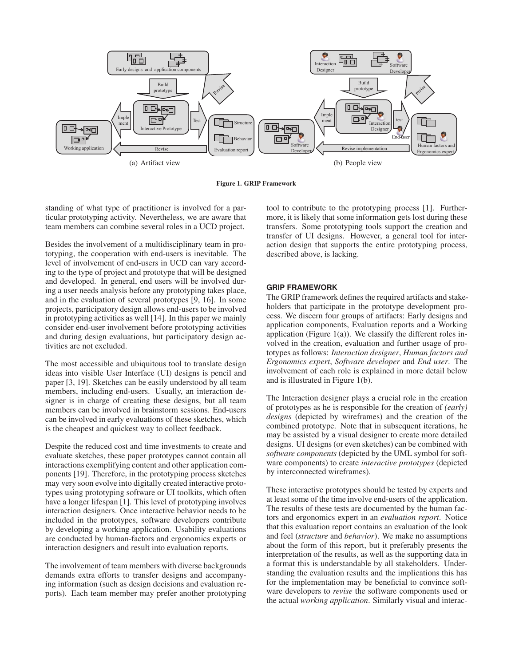

Figure 1. GRIP Framework

standing of what type of practitioner is involved for a particular prototyping activity. Nevertheless, we are aware that team members can combine several roles in a UCD project.

Besides the involvement of a multidisciplinary team in prototyping, the cooperation with end-users is inevitable. The level of involvement of end-users in UCD can vary according to the type of project and prototype that will be designed and developed. In general, end users will be involved during a user needs analysis before any prototyping takes place, and in the evaluation of several prototypes [9, 16]. In some projects, participatory design allows end-users to be involved in prototyping activities as well [14]. In this paper we mainly consider end-user involvement before prototyping activities and during design evaluations, but participatory design activities are not excluded.

The most accessible and ubiquitous tool to translate design ideas into visible User Interface (UI) designs is pencil and paper [3, 19]. Sketches can be easily understood by all team members, including end-users. Usually, an interaction designer is in charge of creating these designs, but all team members can be involved in brainstorm sessions. End-users can be involved in early evaluations of these sketches, which is the cheapest and quickest way to collect feedback.

Despite the reduced cost and time investments to create and evaluate sketches, these paper prototypes cannot contain all interactions exemplifying content and other application components [19]. Therefore, in the prototyping process sketches may very soon evolve into digitally created interactive prototypes using prototyping software or UI toolkits, which often have a longer lifespan [1]. This level of prototyping involves interaction designers. Once interactive behavior needs to be included in the prototypes, software developers contribute by developing a working application. Usability evaluations are conducted by human-factors and ergonomics experts or interaction designers and result into evaluation reports.

The involvement of team members with diverse backgrounds demands extra efforts to transfer designs and accompanying information (such as design decisions and evaluation reports). Each team member may prefer another prototyping tool to contribute to the prototyping process [1]. Furthermore, it is likely that some information gets lost during these transfers. Some prototyping tools support the creation and transfer of UI designs. However, a general tool for interaction design that supports the entire prototyping process, described above, is lacking.

# **GRIP FRAMEWORK**

The GRIP framework defines the required artifacts and stakeholders that participate in the prototype development process. We discern four groups of artifacts: Early designs and application components, Evaluation reports and a Working application (Figure 1(a)). We classify the different roles involved in the creation, evaluation and further usage of prototypes as follows: *Interaction designer*, *Human factors and Ergonomics expert*, *Software developer* and *End user*. The involvement of each role is explained in more detail below and is illustrated in Figure 1(b).

The Interaction designer plays a crucial role in the creation of prototypes as he is responsible for the creation of *(early) designs* (depicted by wireframes) and the creation of the combined prototype. Note that in subsequent iterations, he may be assisted by a visual designer to create more detailed designs. UI designs (or even sketches) can be combined with *software components* (depicted by the UML symbol for software components) to create *interactive prototypes* (depicted by interconnected wireframes).

These interactive prototypes should be tested by experts and at least some of the time involve end-users of the application. The results of these tests are documented by the human factors and ergonomics expert in an *evaluation report*. Notice that this evaluation report contains an evaluation of the look and feel (*structure* and *behavior*). We make no assumptions about the form of this report, but it preferably presents the interpretation of the results, as well as the supporting data in a format this is understandable by all stakeholders. Understanding the evaluation results and the implications this has for the implementation may be beneficial to convince software developers to *revise* the software components used or the actual *working application*. Similarly visual and interac-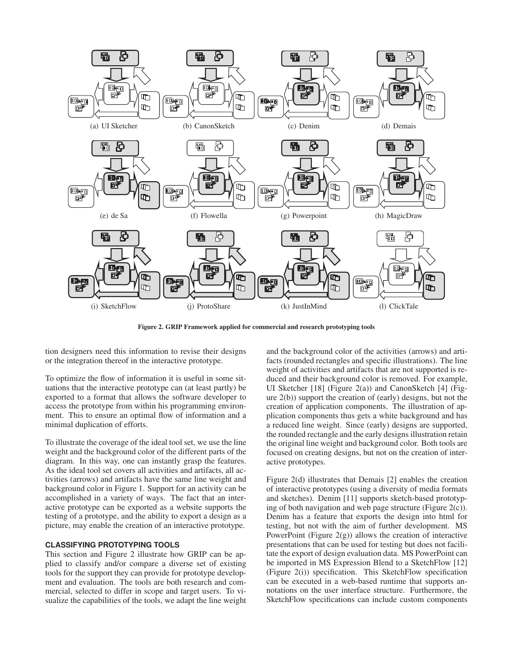

Figure 2. GRIP Framework applied for commercial and research prototyping tools

tion designers need this information to revise their designs or the integration thereof in the interactive prototype.

To optimize the flow of information it is useful in some situations that the interactive prototype can (at least partly) be exported to a format that allows the software developer to access the prototype from within his programming environment. This to ensure an optimal flow of information and a minimal duplication of efforts.

To illustrate the coverage of the ideal tool set, we use the line weight and the background color of the different parts of the diagram. In this way, one can instantly grasp the features. As the ideal tool set covers all activities and artifacts, all activities (arrows) and artifacts have the same line weight and background color in Figure 1. Support for an activity can be accomplished in a variety of ways. The fact that an interactive prototype can be exported as a website supports the testing of a prototype, and the ability to export a design as a picture, may enable the creation of an interactive prototype.

#### **CLASSIFYING PROTOTYPING TOOLS**

This section and Figure 2 illustrate how GRIP can be applied to classify and/or compare a diverse set of existing tools for the support they can provide for prototype development and evaluation. The tools are both research and commercial, selected to differ in scope and target users. To visualize the capabilities of the tools, we adapt the line weight and the background color of the activities (arrows) and artifacts (rounded rectangles and specific illustrations). The line weight of activities and artifacts that are not supported is reduced and their background color is removed. For example, UI Sketcher [18] (Figure 2(a)) and CanonSketch [4] (Figure 2(b)) support the creation of (early) designs, but not the creation of application components. The illustration of application components thus gets a white background and has a reduced line weight. Since (early) designs are supported, the rounded rectangle and the early designs illustration retain the original line weight and background color. Both tools are focused on creating designs, but not on the creation of interactive prototypes.

Figure 2(d) illustrates that Demais [2] enables the creation of interactive prototypes (using a diversity of media formats and sketches). Denim [11] supports sketch-based prototyping of both navigation and web page structure (Figure 2(c)). Denim has a feature that exports the design into html for testing, but not with the aim of further development. MS PowerPoint (Figure  $2(g)$ ) allows the creation of interactive presentations that can be used for testing but does not facilitate the export of design evaluation data. MS PowerPoint can be imported in MS Expression Blend to a SketchFlow [12] (Figure 2(i)) specification. This SketchFlow specification can be executed in a web-based runtime that supports annotations on the user interface structure. Furthermore, the SketchFlow specifications can include custom components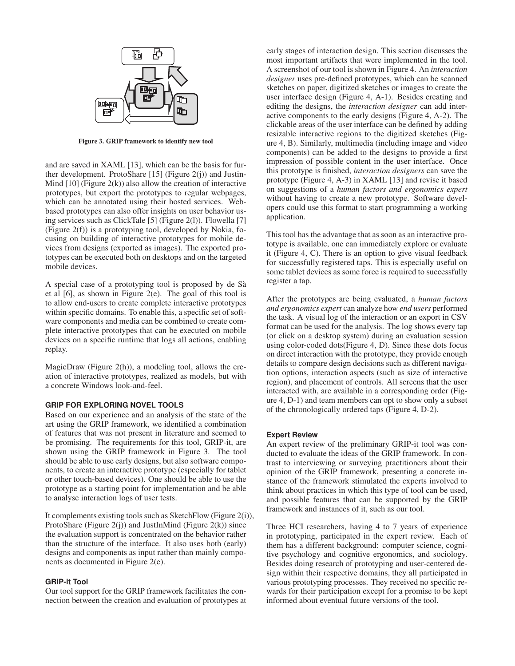

Figure 3. GRIP framework to identify new tool

and are saved in XAML [13], which can be the basis for further development. ProtoShare [15] (Figure 2(j)) and Justin-Mind [10] (Figure 2(k)) also allow the creation of interactive prototypes, but export the prototypes to regular webpages, which can be annotated using their hosted services. Webbased prototypes can also offer insights on user behavior using services such as ClickTale [5] (Figure 2(l)). Flowella [7] (Figure 2(f)) is a prototyping tool, developed by Nokia, focusing on building of interactive prototypes for mobile devices from designs (exported as images). The exported prototypes can be executed both on desktops and on the targeted mobile devices.

A special case of a prototyping tool is proposed by de Sa` et al [6], as shown in Figure 2(e). The goal of this tool is to allow end-users to create complete interactive prototypes within specific domains. To enable this, a specific set of software components and media can be combined to create complete interactive prototypes that can be executed on mobile devices on a specific runtime that logs all actions, enabling replay.

MagicDraw (Figure 2(h)), a modeling tool, allows the creation of interactive prototypes, realized as models, but with a concrete Windows look-and-feel.

#### **GRIP FOR EXPLORING NOVEL TOOLS**

Based on our experience and an analysis of the state of the art using the GRIP framework, we identified a combination of features that was not present in literature and seemed to be promising. The requirements for this tool, GRIP-it, are shown using the GRIP framework in Figure 3. The tool should be able to use early designs, but also software components, to create an interactive prototype (especially for tablet or other touch-based devices). One should be able to use the prototype as a starting point for implementation and be able to analyse interaction logs of user tests.

It complements existing tools such as SketchFlow (Figure 2(i)), ProtoShare (Figure  $2(j)$ ) and JustInMind (Figure  $2(k)$ ) since the evaluation support is concentrated on the behavior rather than the structure of the interface. It also uses both (early) designs and components as input rather than mainly components as documented in Figure 2(e).

#### **GRIP-it Tool**

Our tool support for the GRIP framework facilitates the connection between the creation and evaluation of prototypes at early stages of interaction design. This section discusses the most important artifacts that were implemented in the tool. A screenshot of our tool is shown in Figure 4. An *interaction designer* uses pre-defined prototypes, which can be scanned sketches on paper, digitized sketches or images to create the user interface design (Figure 4, A-1). Besides creating and editing the designs, the *interaction designer* can add interactive components to the early designs (Figure 4, A-2). The clickable areas of the user interface can be defined by adding resizable interactive regions to the digitized sketches (Figure 4, B). Similarly, multimedia (including image and video components) can be added to the designs to provide a first impression of possible content in the user interface. Once this prototype is finished, *interaction designers* can save the prototype (Figure 4, A-3) in XAML [13] and revise it based on suggestions of a *human factors and ergonomics expert* without having to create a new prototype. Software developers could use this format to start programming a working application.

This tool has the advantage that as soon as an interactive prototype is available, one can immediately explore or evaluate it (Figure 4, C). There is an option to give visual feedback for successfully registered taps. This is especially useful on some tablet devices as some force is required to successfully register a tap.

After the prototypes are being evaluated, a *human factors and ergonomics expert* can analyze how *end users* performed the task. A visual log of the interaction or an export in CSV format can be used for the analysis. The log shows every tap (or click on a desktop system) during an evaluation session using color-coded dots(Figure 4, D). Since these dots focus on direct interaction with the prototype, they provide enough details to compare design decisions such as different navigation options, interaction aspects (such as size of interactive region), and placement of controls. All screens that the user interacted with, are available in a corresponding order (Figure 4, D-1) and team members can opt to show only a subset of the chronologically ordered taps (Figure 4, D-2).

#### **Expert Review**

An expert review of the preliminary GRIP-it tool was conducted to evaluate the ideas of the GRIP framework. In contrast to interviewing or surveying practitioners about their opinion of the GRIP framework, presenting a concrete instance of the framework stimulated the experts involved to think about practices in which this type of tool can be used, and possible features that can be supported by the GRIP framework and instances of it, such as our tool.

Three HCI researchers, having 4 to 7 years of experience in prototyping, participated in the expert review. Each of them has a different background: computer science, cognitive psychology and cognitive ergonomics, and sociology. Besides doing research of prototyping and user-centered design within their respective domains, they all participated in various prototyping processes. They received no specific rewards for their participation except for a promise to be kept informed about eventual future versions of the tool.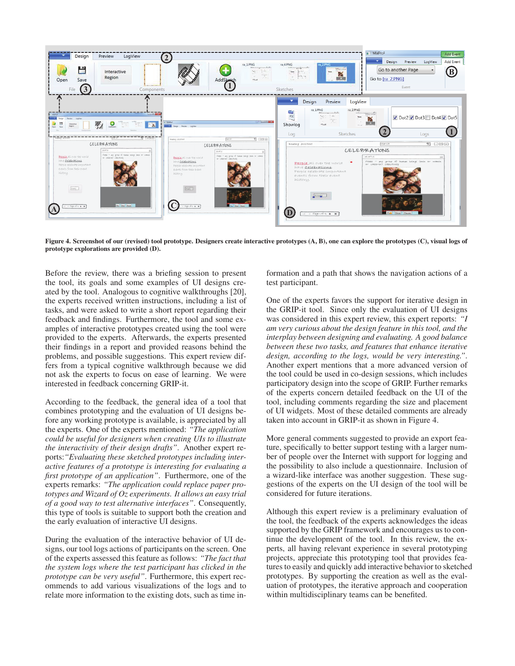

Figure 4. Screenshot of our (revised) tool prototype. Designers create interactive prototypes (A, B), one can explore the prototypes (C), visual logs of prototype explorations are provided (D).

Before the review, there was a briefing session to present the tool, its goals and some examples of UI designs created by the tool. Analogous to cognitive walkthroughs [20], the experts received written instructions, including a list of tasks, and were asked to write a short report regarding their feedback and findings. Furthermore, the tool and some examples of interactive prototypes created using the tool were provided to the experts. Afterwards, the experts presented their findings in a report and provided reasons behind the problems, and possible suggestions. This expert review differs from a typical cognitive walkthrough because we did not ask the experts to focus on ease of learning. We were interested in feedback concerning GRIP-it.

According to the feedback, the general idea of a tool that combines prototyping and the evaluation of UI designs before any working prototype is available, is appreciated by all the experts. One of the experts mentioned: *"The application could be useful for designers when creating UIs to illustrate the interactivity of their design drafts"*. Another expert reports:*"Evaluating these sketched prototypes including interactive features of a prototype is interesting for evaluating a first prototype of an application"*. Furthermore, one of the experts remarks: *"The application could replace paper prototypes and Wizard of Oz experiments. It allows an easy trial of a good way to test alternative interfaces"*. Consequently, this type of tools is suitable to support both the creation and the early evaluation of interactive UI designs.

During the evaluation of the interactive behavior of UI designs, our tool logs actions of participants on the screen. One of the experts assessed this feature as follows: *"The fact that the system logs where the test participant has clicked in the prototype can be very useful"*. Furthermore, this expert recommends to add various visualizations of the logs and to relate more information to the existing dots, such as time information and a path that shows the navigation actions of a test participant.

One of the experts favors the support for iterative design in the GRIP-it tool. Since only the evaluation of UI designs was considered in this expert review, this expert reports: *"I am very curious about the design feature in this tool, and the interplay between designing and evaluating. A good balance between these two tasks, and features that enhance iterative design, according to the logs, would be very interesting."*. Another expert mentions that a more advanced version of the tool could be used in co-design sessions, which includes participatory design into the scope of GRIP. Further remarks of the experts concern detailed feedback on the UI of the tool, including comments regarding the size and placement of UI widgets. Most of these detailed comments are already taken into account in GRIP-it as shown in Figure 4.

More general comments suggested to provide an export feature, specifically to better support testing with a larger number of people over the Internet with support for logging and the possibility to also include a questionnaire. Inclusion of a wizard-like interface was another suggestion. These suggestions of the experts on the UI design of the tool will be considered for future iterations.

Although this expert review is a preliminary evaluation of the tool, the feedback of the experts acknowledges the ideas supported by the GRIP framework and encourages us to continue the development of the tool. In this review, the experts, all having relevant experience in several prototyping projects, appreciate this prototyping tool that provides features to easily and quickly add interactive behavior to sketched prototypes. By supporting the creation as well as the evaluation of prototypes, the iterative approach and cooperation within multidisciplinary teams can be benefited.